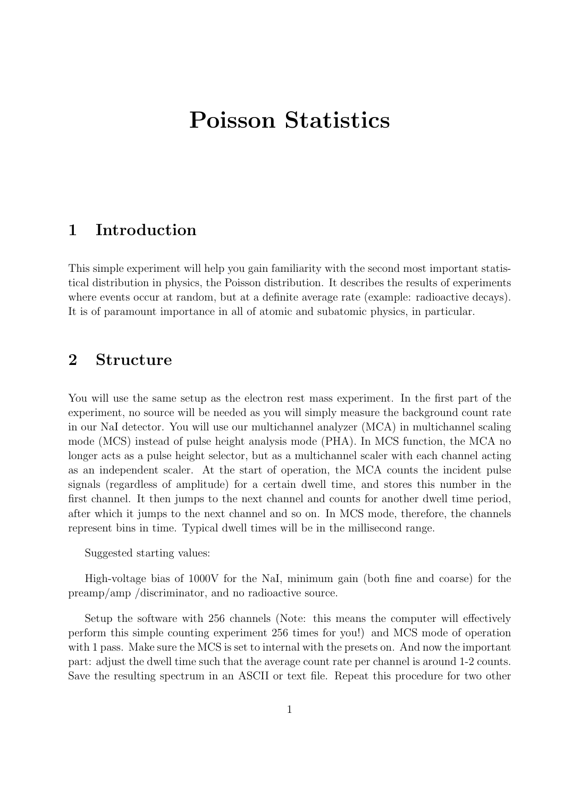# **Poisson Statistics**

# **1 Introduction**

This simple experiment will help you gain familiarity with the second most important statistical distribution in physics, the Poisson distribution. It describes the results of experiments where events occur at random, but at a definite average rate (example: radioactive decays). It is of paramount importance in all of atomic and subatomic physics, in particular.

### **2 Structure**

You will use the same setup as the electron rest mass experiment. In the first part of the experiment, no source will be needed as you will simply measure the background count rate in our NaI detector. You will use our multichannel analyzer (MCA) in multichannel scaling mode (MCS) instead of pulse height analysis mode (PHA). In MCS function, the MCA no longer acts as a pulse height selector, but as a multichannel scaler with each channel acting as an independent scaler. At the start of operation, the MCA counts the incident pulse signals (regardless of amplitude) for a certain dwell time, and stores this number in the first channel. It then jumps to the next channel and counts for another dwell time period, after which it jumps to the next channel and so on. In MCS mode, therefore, the channels represent bins in time. Typical dwell times will be in the millisecond range.

Suggested starting values:

High-voltage bias of 1000V for the NaI, minimum gain (both fine and coarse) for the preamp/amp /discriminator, and no radioactive source.

Setup the software with 256 channels (Note: this means the computer will effectively perform this simple counting experiment 256 times for you!) and MCS mode of operation with 1 pass. Make sure the MCS is set to internal with the presets on. And now the important part: adjust the dwell time such that the average count rate per channel is around 1-2 counts. Save the resulting spectrum in an ASCII or text file. Repeat this procedure for two other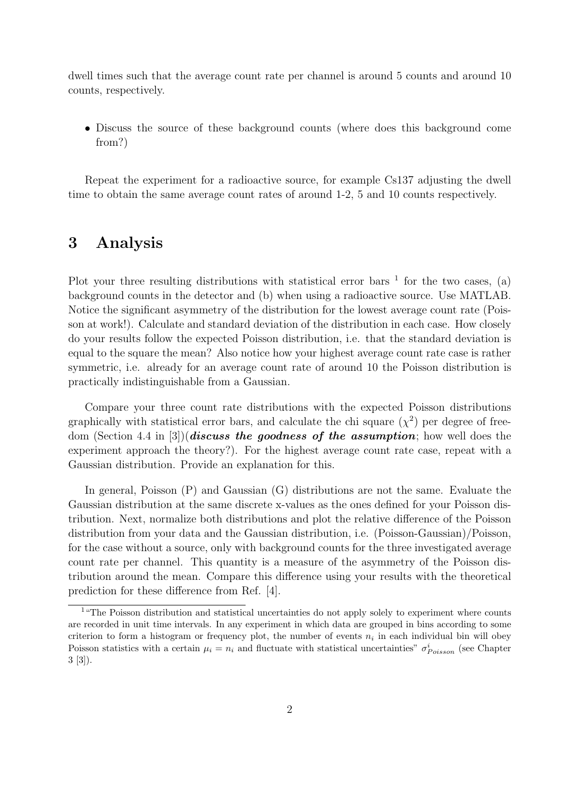dwell times such that the average count rate per channel is around 5 counts and around 10 counts, respectively.

• Discuss the source of these background counts (where does this background come from?)

Repeat the experiment for a radioactive source, for example Cs137 adjusting the dwell time to obtain the same average count rates of around 1-2, 5 and 10 counts respectively.

#### **3 Analysis**

Plot your three resulting distributions with statistical error bars  $<sup>1</sup>$  for the two cases, (a)</sup> background counts in the detector and (b) when using a radioactive source. Use MATLAB. Notice the significant asymmetry of the distribution for the lowest average count rate (Poisson at work!). Calculate and standard deviation of the distribution in each case. How closely do your results follow the expected Poisson distribution, i.e. that the standard deviation is equal to the square the mean? Also notice how your highest average count rate case is rather symmetric, i.e. already for an average count rate of around 10 the Poisson distribution is practically indistinguishable from a Gaussian.

Compare your three count rate distributions with the expected Poisson distributions graphically with statistical error bars, and calculate the chi square  $(\chi^2)$  per degree of freedom (Section 4.4 in [3])(*discuss the goodness of the assumption*; how well does the experiment approach the theory?). For the highest average count rate case, repeat with a Gaussian distribution. Provide an explanation for this.

In general, Poisson  $(P)$  and Gaussian  $(G)$  distributions are not the same. Evaluate the Gaussian distribution at the same discrete x-values as the ones defined for your Poisson distribution. Next, normalize both distributions and plot the relative difference of the Poisson distribution from your data and the Gaussian distribution, i.e. (Poisson-Gaussian)/Poisson, for the case without a source, only with background counts for the three investigated average count rate per channel. This quantity is a measure of the asymmetry of the Poisson distribution around the mean. Compare this difference using your results with the theoretical prediction for these difference from Ref. [4].

<sup>&</sup>lt;sup>1</sup> "The Poisson distribution and statistical uncertainties do not apply solely to experiment where counts are recorded in unit time intervals. In any experiment in which data are grouped in bins according to some criterion to form a histogram or frequency plot, the number of events  $n_i$  in each individual bin will obey Poisson statistics with a certain  $\mu_i = n_i$  and fluctuate with statistical uncertainties"  $\sigma_{Poisson}^i$  (see Chapter 3 [3]).